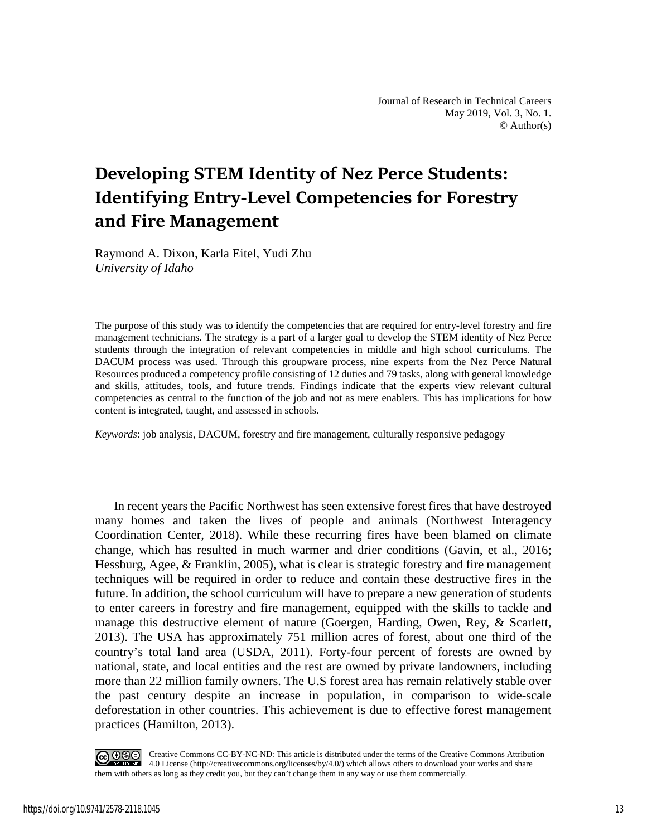# **Developing STEM Identity of Nez Perce Students: Identifying Entry-Level Competencies for Forestry and Fire Management**

Raymond A. Dixon, Karla Eitel, Yudi Zhu *University of Idaho* 

The purpose of this study was to identify the competencies that are required for entry-level forestry and fire management technicians. The strategy is a part of a larger goal to develop the STEM identity of Nez Perce students through the integration of relevant competencies in middle and high school curriculums. The DACUM process was used. Through this groupware process, nine experts from the Nez Perce Natural Resources produced a competency profile consisting of 12 duties and 79 tasks, along with general knowledge and skills, attitudes, tools, and future trends. Findings indicate that the experts view relevant cultural competencies as central to the function of the job and not as mere enablers. This has implications for how content is integrated, taught, and assessed in schools.

*Keywords*: job analysis, DACUM, forestry and fire management, culturally responsive pedagogy

In recent years the Pacific Northwest has seen extensive forest fires that have destroyed many homes and taken the lives of people and animals (Northwest Interagency Coordination Center, 2018). While these recurring fires have been blamed on climate change, which has resulted in much warmer and drier conditions (Gavin, et al., 2016; Hessburg, Agee, & Franklin, 2005), what is clear is strategic forestry and fire management techniques will be required in order to reduce and contain these destructive fires in the future. In addition, the school curriculum will have to prepare a new generation of students to enter careers in forestry and fire management, equipped with the skills to tackle and manage this destructive element of nature (Goergen, Harding, Owen, Rey, & Scarlett, 2013). The USA has approximately 751 million acres of forest, about one third of the country's total land area (USDA, 2011). Forty-four percent of forests are owned by national, state, and local entities and the rest are owned by private landowners, including more than 22 million family owners. The U.S forest area has remain relatively stable over the past century despite an increase in population, in comparison to wide-scale deforestation in other countries. This achievement is due to effective forest management practices (Hamilton, 2013).

COOSO Creative Commons CC-BY-NC-ND: This article is distributed under the terms of the Creative Commons Attribution 4.0 License (http://creativecommons.org/licenses/by/4.0/) which allows others to download your works and share them with others as long as they credit you, but they can't change them in any way or use them commercially.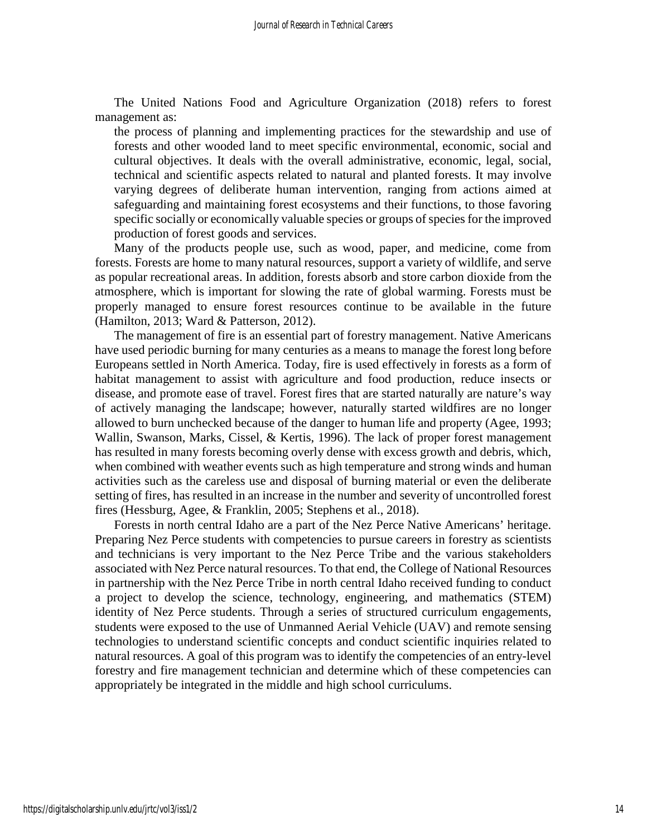The United Nations Food and Agriculture Organization (2018) refers to forest management as:

the process of planning and implementing practices for the stewardship and use of forests and other wooded land to meet specific environmental, economic, social and cultural objectives. It deals with the overall administrative, economic, legal, social, technical and scientific aspects related to natural and planted forests. It may involve varying degrees of deliberate human intervention, ranging from actions aimed at safeguarding and maintaining forest ecosystems and their functions, to those favoring specific socially or economically valuable species or groups of species for the improved production of forest goods and services.

Many of the products people use, such as wood, paper, and medicine, come from forests. Forests are home to many natural resources, support a variety of wildlife, and serve as popular recreational areas. In addition, forests absorb and store carbon dioxide from the atmosphere, which is important for slowing the rate of global warming. Forests must be properly managed to ensure forest resources continue to be available in the future (Hamilton, 2013; Ward & Patterson, 2012).

The management of fire is an essential part of forestry management. Native Americans have used periodic burning for many centuries as a means to manage the forest long before Europeans settled in North America. Today, fire is used effectively in forests as a form of habitat management to assist with agriculture and food production, reduce insects or disease, and promote ease of travel. Forest fires that are started naturally are nature's way of actively managing the landscape; however, naturally started wildfires are no longer allowed to burn unchecked because of the danger to human life and property (Agee, 1993; Wallin, Swanson, Marks, Cissel, & Kertis, 1996). The lack of proper forest management has resulted in many forests becoming overly dense with excess growth and debris, which, when combined with weather events such as high temperature and strong winds and human activities such as the careless use and disposal of burning material or even the deliberate setting of fires, has resulted in an increase in the number and severity of uncontrolled forest fires (Hessburg, Agee, & Franklin, 2005; Stephens et al., 2018).

Forests in north central Idaho are a part of the Nez Perce Native Americans' heritage. Preparing Nez Perce students with competencies to pursue careers in forestry as scientists and technicians is very important to the Nez Perce Tribe and the various stakeholders associated with Nez Perce natural resources. To that end, the College of National Resources in partnership with the Nez Perce Tribe in north central Idaho received funding to conduct a project to develop the science, technology, engineering, and mathematics (STEM) identity of Nez Perce students. Through a series of structured curriculum engagements, students were exposed to the use of Unmanned Aerial Vehicle (UAV) and remote sensing technologies to understand scientific concepts and conduct scientific inquiries related to natural resources. A goal of this program was to identify the competencies of an entry-level forestry and fire management technician and determine which of these competencies can appropriately be integrated in the middle and high school curriculums.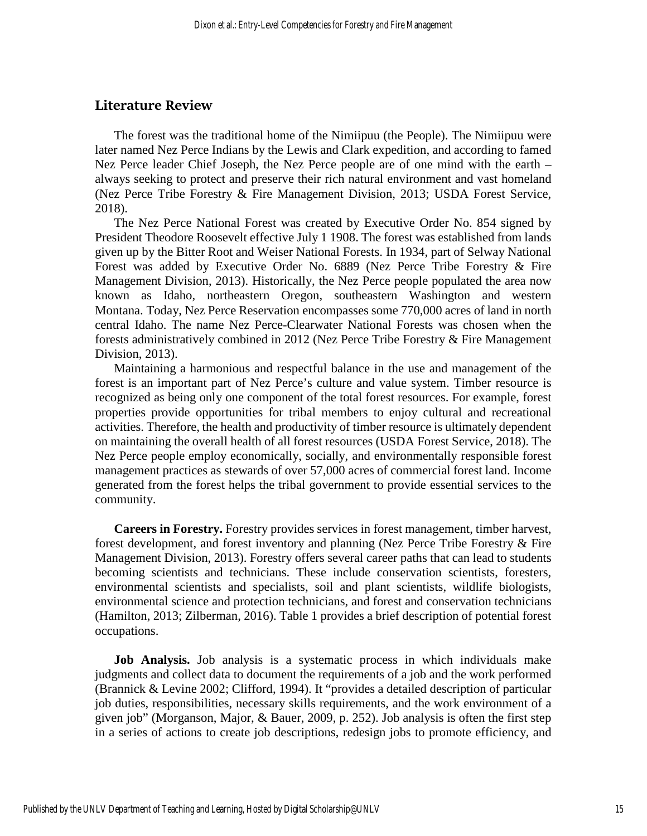## **Literature Review**

The forest was the traditional home of the Nimiipuu (the People). The Nimiipuu were later named Nez Perce Indians by the Lewis and Clark expedition, and according to famed Nez Perce leader Chief Joseph, the Nez Perce people are of one mind with the earth – always seeking to protect and preserve their rich natural environment and vast homeland (Nez Perce Tribe Forestry & Fire Management Division, 2013; USDA Forest Service, 2018).

The Nez Perce National Forest was created by Executive Order No. 854 signed by President Theodore Roosevelt effective July 1 1908. The forest was established from lands given up by the Bitter Root and Weiser National Forests. In 1934, part of Selway National Forest was added by Executive Order No. 6889 (Nez Perce Tribe Forestry & Fire Management Division, 2013). Historically, the Nez Perce people populated the area now known as Idaho, northeastern Oregon, southeastern Washington and western Montana. Today, Nez Perce Reservation encompasses some 770,000 acres of land in north central Idaho. The name Nez Perce-Clearwater National Forests was chosen when the forests administratively combined in 2012 (Nez Perce Tribe Forestry & Fire Management Division, 2013).

Maintaining a harmonious and respectful balance in the use and management of the forest is an important part of Nez Perce's culture and value system. Timber resource is recognized as being only one component of the total forest resources. For example, forest properties provide opportunities for tribal members to enjoy cultural and recreational activities. Therefore, the health and productivity of timber resource is ultimately dependent on maintaining the overall health of all forest resources (USDA Forest Service, 2018). The Nez Perce people employ economically, socially, and environmentally responsible forest management practices as stewards of over 57,000 acres of commercial forest land. Income generated from the forest helps the tribal government to provide essential services to the community.

**Careers in Forestry.** Forestry provides services in forest management, timber harvest, forest development, and forest inventory and planning (Nez Perce Tribe Forestry & Fire Management Division, 2013). Forestry offers several career paths that can lead to students becoming scientists and technicians. These include conservation scientists, foresters, environmental scientists and specialists, soil and plant scientists, wildlife biologists, environmental science and protection technicians, and forest and conservation technicians (Hamilton, 2013; Zilberman, 2016). Table 1 provides a brief description of potential forest occupations.

**Job Analysis.** Job analysis is a systematic process in which individuals make judgments and collect data to document the requirements of a job and the work performed (Brannick & Levine 2002; Clifford, 1994). It "provides a detailed description of particular job duties, responsibilities, necessary skills requirements, and the work environment of a given job" (Morganson, Major, & Bauer, 2009, p. 252). Job analysis is often the first step in a series of actions to create job descriptions, redesign jobs to promote efficiency, and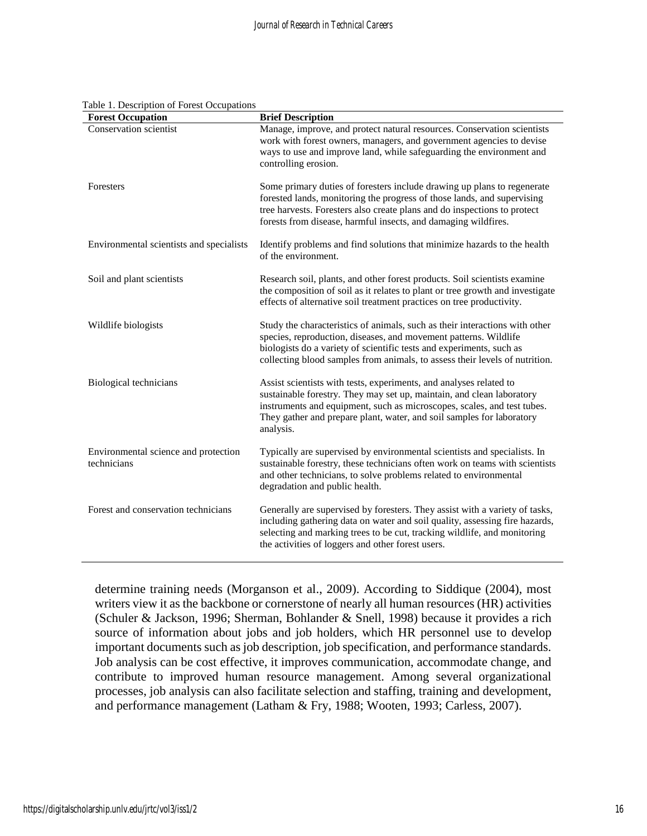| <b>Forest Occupation</b>                            | <b>Brief Description</b>                                                                                                                                                                                                                                                                                     |
|-----------------------------------------------------|--------------------------------------------------------------------------------------------------------------------------------------------------------------------------------------------------------------------------------------------------------------------------------------------------------------|
| <b>Conservation scientist</b>                       | Manage, improve, and protect natural resources. Conservation scientists<br>work with forest owners, managers, and government agencies to devise<br>ways to use and improve land, while safeguarding the environment and<br>controlling erosion.                                                              |
| Foresters                                           | Some primary duties of foresters include drawing up plans to regenerate<br>forested lands, monitoring the progress of those lands, and supervising<br>tree harvests. Foresters also create plans and do inspections to protect<br>forests from disease, harmful insects, and damaging wildfires.             |
| Environmental scientists and specialists            | Identify problems and find solutions that minimize hazards to the health<br>of the environment.                                                                                                                                                                                                              |
| Soil and plant scientists                           | Research soil, plants, and other forest products. Soil scientists examine<br>the composition of soil as it relates to plant or tree growth and investigate<br>effects of alternative soil treatment practices on tree productivity.                                                                          |
| Wildlife biologists                                 | Study the characteristics of animals, such as their interactions with other<br>species, reproduction, diseases, and movement patterns. Wildlife<br>biologists do a variety of scientific tests and experiments, such as<br>collecting blood samples from animals, to assess their levels of nutrition.       |
| Biological technicians                              | Assist scientists with tests, experiments, and analyses related to<br>sustainable forestry. They may set up, maintain, and clean laboratory<br>instruments and equipment, such as microscopes, scales, and test tubes.<br>They gather and prepare plant, water, and soil samples for laboratory<br>analysis. |
| Environmental science and protection<br>technicians | Typically are supervised by environmental scientists and specialists. In<br>sustainable forestry, these technicians often work on teams with scientists<br>and other technicians, to solve problems related to environmental<br>degradation and public health.                                               |
| Forest and conservation technicians                 | Generally are supervised by foresters. They assist with a variety of tasks,<br>including gathering data on water and soil quality, assessing fire hazards,<br>selecting and marking trees to be cut, tracking wildlife, and monitoring<br>the activities of loggers and other forest users.                  |

#### Table 1. Description of Forest Occupations

determine training needs (Morganson et al., 2009). According to Siddique (2004), most writers view it as the backbone or cornerstone of nearly all human resources (HR) activities (Schuler & Jackson, 1996; Sherman, Bohlander & Snell, 1998) because it provides a rich source of information about jobs and job holders, which HR personnel use to develop important documents such as job description, job specification, and performance standards. Job analysis can be cost effective, it improves communication, accommodate change, and contribute to improved human resource management. Among several organizational processes, job analysis can also facilitate selection and staffing, training and development, and performance management (Latham & Fry, 1988; Wooten, 1993; Carless, 2007).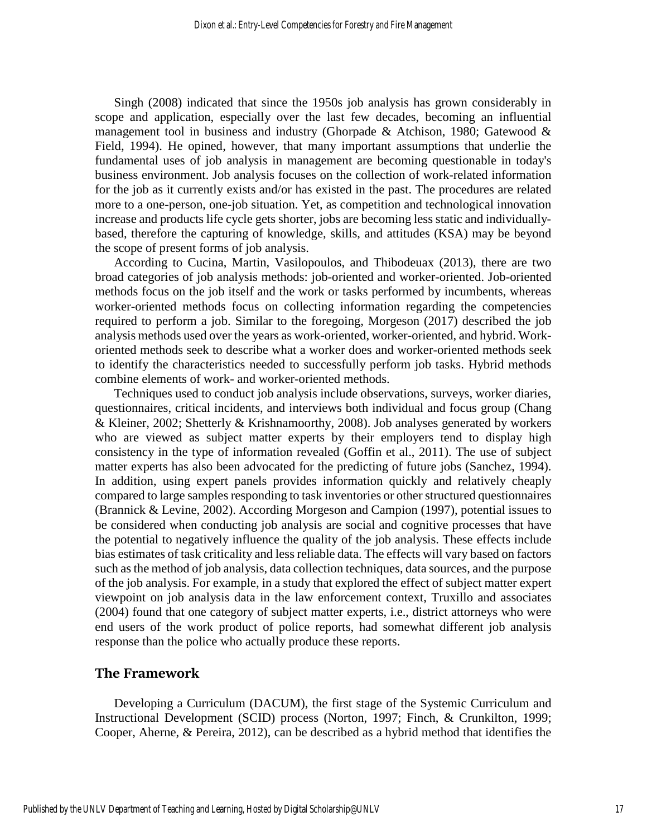Singh (2008) indicated that since the 1950s job analysis has grown considerably in scope and application, especially over the last few decades, becoming an influential management tool in business and industry (Ghorpade & Atchison, 1980; Gatewood & Field, 1994). He opined, however, that many important assumptions that underlie the fundamental uses of job analysis in management are becoming questionable in today's business environment. Job analysis focuses on the collection of work-related information for the job as it currently exists and/or has existed in the past. The procedures are related more to a one-person, one-job situation. Yet, as competition and technological innovation increase and products life cycle gets shorter, jobs are becoming less static and individuallybased, therefore the capturing of knowledge, skills, and attitudes (KSA) may be beyond the scope of present forms of job analysis.

According to Cucina, Martin, Vasilopoulos, and Thibodeuax (2013), there are two broad categories of job analysis methods: job-oriented and worker-oriented. Job-oriented methods focus on the job itself and the work or tasks performed by incumbents, whereas worker-oriented methods focus on collecting information regarding the competencies required to perform a job. Similar to the foregoing, Morgeson (2017) described the job analysis methods used over the years as work-oriented, worker-oriented, and hybrid. Workoriented methods seek to describe what a worker does and worker-oriented methods seek to identify the characteristics needed to successfully perform job tasks. Hybrid methods combine elements of work- and worker-oriented methods.

Techniques used to conduct job analysis include observations, surveys, worker diaries, questionnaires, critical incidents, and interviews both individual and focus group (Chang & Kleiner, 2002; Shetterly & Krishnamoorthy, 2008). Job analyses generated by workers who are viewed as subject matter experts by their employers tend to display high consistency in the type of information revealed (Goffin et al., 2011). The use of subject matter experts has also been advocated for the predicting of future jobs (Sanchez, 1994). In addition, using expert panels provides information quickly and relatively cheaply compared to large samples responding to task inventories or other structured questionnaires (Brannick & Levine, 2002). According Morgeson and Campion (1997), potential issues to be considered when conducting job analysis are social and cognitive processes that have the potential to negatively influence the quality of the job analysis. These effects include bias estimates of task criticality and less reliable data. The effects will vary based on factors such as the method of job analysis, data collection techniques, data sources, and the purpose of the job analysis. For example, in a study that explored the effect of subject matter expert viewpoint on job analysis data in the law enforcement context, Truxillo and associates (2004) found that one category of subject matter experts, i.e., district attorneys who were end users of the work product of police reports, had somewhat different job analysis response than the police who actually produce these reports.

# **The Framework**

Developing a Curriculum (DACUM), the first stage of the Systemic Curriculum and Instructional Development (SCID) process (Norton, 1997; Finch, & Crunkilton, 1999; Cooper, Aherne, & Pereira, 2012), can be described as a hybrid method that identifies the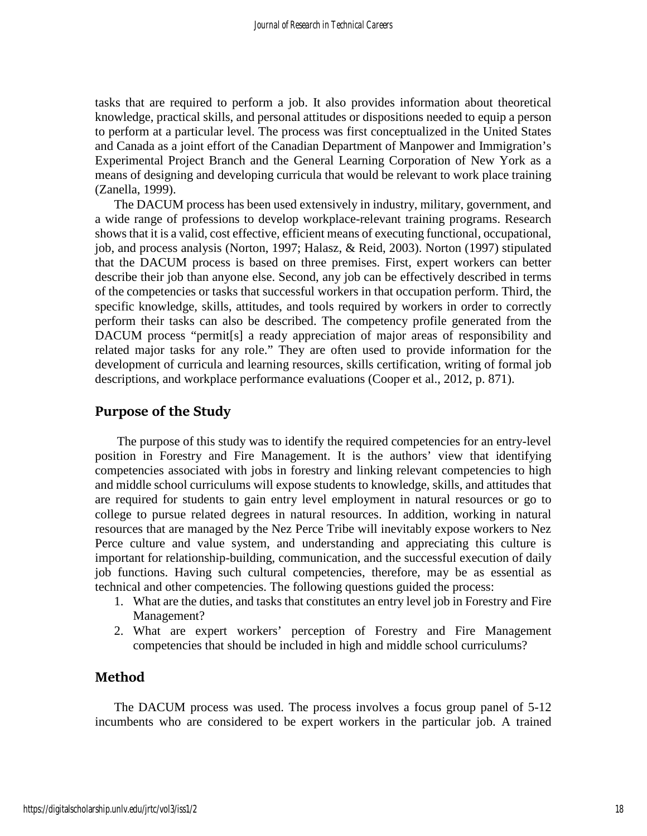tasks that are required to perform a job. It also provides information about theoretical knowledge, practical skills, and personal attitudes or dispositions needed to equip a person to perform at a particular level. The process was first conceptualized in the United States and Canada as a joint effort of the Canadian Department of Manpower and Immigration's Experimental Project Branch and the General Learning Corporation of New York as a means of designing and developing curricula that would be relevant to work place training (Zanella, 1999).

The DACUM process has been used extensively in industry, military, government, and a wide range of professions to develop workplace-relevant training programs. Research shows that it is a valid, cost effective, efficient means of executing functional, occupational, job, and process analysis (Norton, 1997; Halasz, & Reid, 2003). Norton (1997) stipulated that the DACUM process is based on three premises. First, expert workers can better describe their job than anyone else. Second, any job can be effectively described in terms of the competencies or tasks that successful workers in that occupation perform. Third, the specific knowledge, skills, attitudes, and tools required by workers in order to correctly perform their tasks can also be described. The competency profile generated from the DACUM process "permit[s] a ready appreciation of major areas of responsibility and related major tasks for any role." They are often used to provide information for the development of curricula and learning resources, skills certification, writing of formal job descriptions, and workplace performance evaluations (Cooper et al., 2012, p. 871).

# **Purpose of the Study**

The purpose of this study was to identify the required competencies for an entry-level position in Forestry and Fire Management. It is the authors' view that identifying competencies associated with jobs in forestry and linking relevant competencies to high and middle school curriculums will expose students to knowledge, skills, and attitudes that are required for students to gain entry level employment in natural resources or go to college to pursue related degrees in natural resources. In addition, working in natural resources that are managed by the Nez Perce Tribe will inevitably expose workers to Nez Perce culture and value system, and understanding and appreciating this culture is important for relationship-building, communication, and the successful execution of daily job functions. Having such cultural competencies, therefore, may be as essential as technical and other competencies. The following questions guided the process:

- 1. What are the duties, and tasks that constitutes an entry level job in Forestry and Fire Management?
- 2. What are expert workers' perception of Forestry and Fire Management competencies that should be included in high and middle school curriculums?

## **Method**

The DACUM process was used. The process involves a focus group panel of 5-12 incumbents who are considered to be expert workers in the particular job. A trained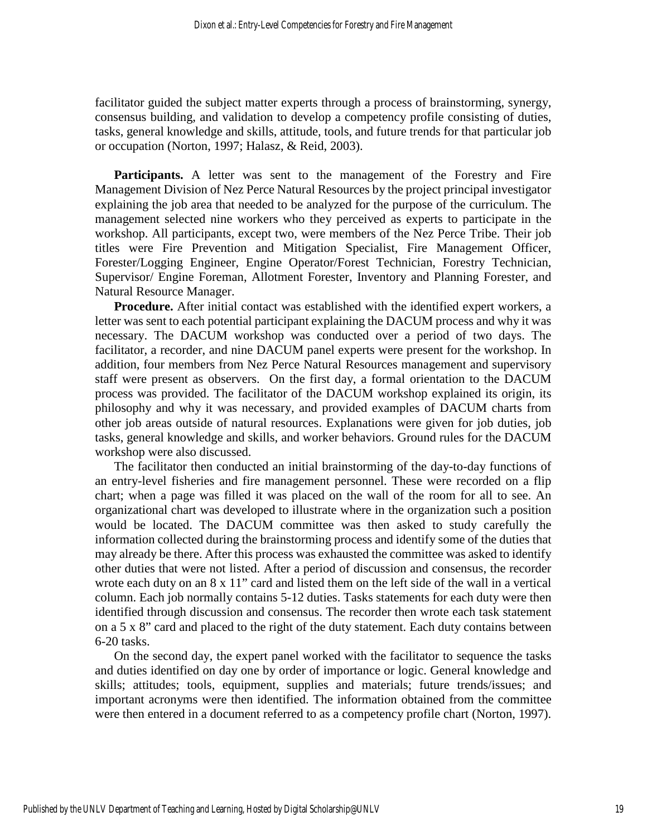facilitator guided the subject matter experts through a process of brainstorming, synergy, consensus building, and validation to develop a competency profile consisting of duties, tasks, general knowledge and skills, attitude, tools, and future trends for that particular job or occupation (Norton, 1997; Halasz, & Reid, 2003).

**Participants.** A letter was sent to the management of the Forestry and Fire Management Division of Nez Perce Natural Resources by the project principal investigator explaining the job area that needed to be analyzed for the purpose of the curriculum. The management selected nine workers who they perceived as experts to participate in the workshop. All participants, except two, were members of the Nez Perce Tribe. Their job titles were Fire Prevention and Mitigation Specialist, Fire Management Officer, Forester/Logging Engineer, Engine Operator/Forest Technician, Forestry Technician, Supervisor/ Engine Foreman, Allotment Forester, Inventory and Planning Forester, and Natural Resource Manager.

**Procedure.** After initial contact was established with the identified expert workers, a letter was sent to each potential participant explaining the DACUM process and why it was necessary. The DACUM workshop was conducted over a period of two days. The facilitator, a recorder, and nine DACUM panel experts were present for the workshop. In addition, four members from Nez Perce Natural Resources management and supervisory staff were present as observers. On the first day, a formal orientation to the DACUM process was provided. The facilitator of the DACUM workshop explained its origin, its philosophy and why it was necessary, and provided examples of DACUM charts from other job areas outside of natural resources. Explanations were given for job duties, job tasks, general knowledge and skills, and worker behaviors. Ground rules for the DACUM workshop were also discussed.

The facilitator then conducted an initial brainstorming of the day-to-day functions of an entry-level fisheries and fire management personnel. These were recorded on a flip chart; when a page was filled it was placed on the wall of the room for all to see. An organizational chart was developed to illustrate where in the organization such a position would be located. The DACUM committee was then asked to study carefully the information collected during the brainstorming process and identify some of the duties that may already be there. After this process was exhausted the committee was asked to identify other duties that were not listed. After a period of discussion and consensus, the recorder wrote each duty on an  $8 \times 11$ " card and listed them on the left side of the wall in a vertical column. Each job normally contains 5-12 duties. Tasks statements for each duty were then identified through discussion and consensus. The recorder then wrote each task statement on a 5 x 8" card and placed to the right of the duty statement. Each duty contains between 6-20 tasks.

On the second day, the expert panel worked with the facilitator to sequence the tasks and duties identified on day one by order of importance or logic. General knowledge and skills; attitudes; tools, equipment, supplies and materials; future trends/issues; and important acronyms were then identified. The information obtained from the committee were then entered in a document referred to as a competency profile chart (Norton, 1997).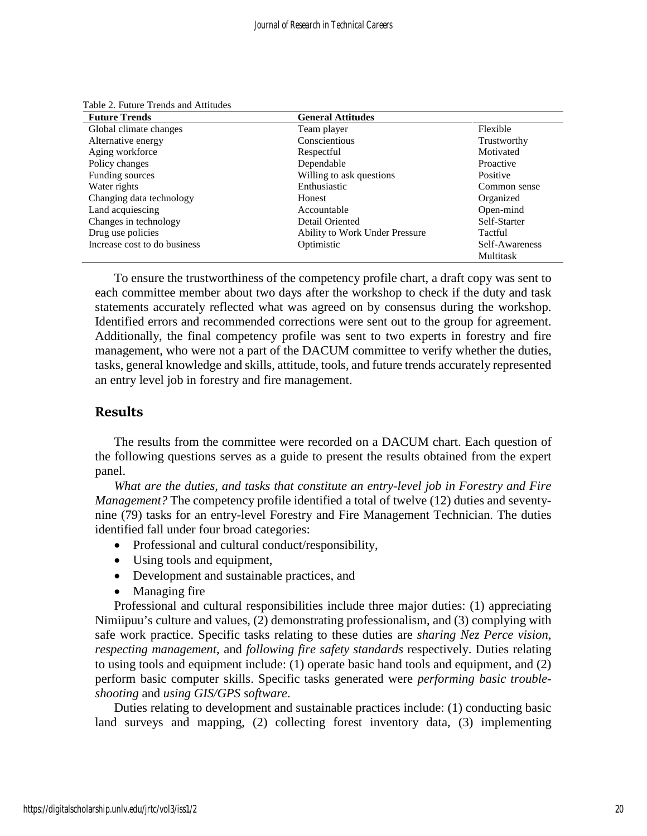| <b>Future Trends</b>         | <b>General Attitudes</b>       |                |
|------------------------------|--------------------------------|----------------|
| Global climate changes       | Team player                    | Flexible       |
| Alternative energy           | Conscientious                  | Trustworthy    |
| Aging workforce              | Respectful                     | Motivated      |
| Policy changes               | Dependable                     | Proactive      |
| Funding sources              | Willing to ask questions       | Positive       |
| Water rights                 | Enthusiastic                   | Common sense   |
| Changing data technology     | Honest                         | Organized      |
| Land acquiescing             | Accountable                    | Open-mind      |
| Changes in technology        | Detail Oriented                | Self-Starter   |
| Drug use policies            | Ability to Work Under Pressure | Tactful        |
| Increase cost to do business | Optimistic                     | Self-Awareness |
|                              |                                | Multitask      |

Table 2. Future Trends and Attitudes

To ensure the trustworthiness of the competency profile chart, a draft copy was sent to each committee member about two days after the workshop to check if the duty and task statements accurately reflected what was agreed on by consensus during the workshop. Identified errors and recommended corrections were sent out to the group for agreement. Additionally, the final competency profile was sent to two experts in forestry and fire management, who were not a part of the DACUM committee to verify whether the duties, tasks, general knowledge and skills, attitude, tools, and future trends accurately represented an entry level job in forestry and fire management.

# **Results**

The results from the committee were recorded on a DACUM chart. Each question of the following questions serves as a guide to present the results obtained from the expert panel.

*What are the duties, and tasks that constitute an entry-level job in Forestry and Fire Management?* The competency profile identified a total of twelve (12) duties and seventynine (79) tasks for an entry-level Forestry and Fire Management Technician. The duties identified fall under four broad categories:

- Professional and cultural conduct/responsibility,
- Using tools and equipment,
- Development and sustainable practices, and
- Managing fire

Professional and cultural responsibilities include three major duties: (1) appreciating Nimiipuu's culture and values, (2) demonstrating professionalism, and (3) complying with safe work practice. Specific tasks relating to these duties are *sharing Nez Perce vision*, *respecting management*, and *following fire safety standards* respectively. Duties relating to using tools and equipment include: (1) operate basic hand tools and equipment, and (2) perform basic computer skills. Specific tasks generated were *performing basic troubleshooting* and *using GIS/GPS software*.

Duties relating to development and sustainable practices include: (1) conducting basic land surveys and mapping, (2) collecting forest inventory data, (3) implementing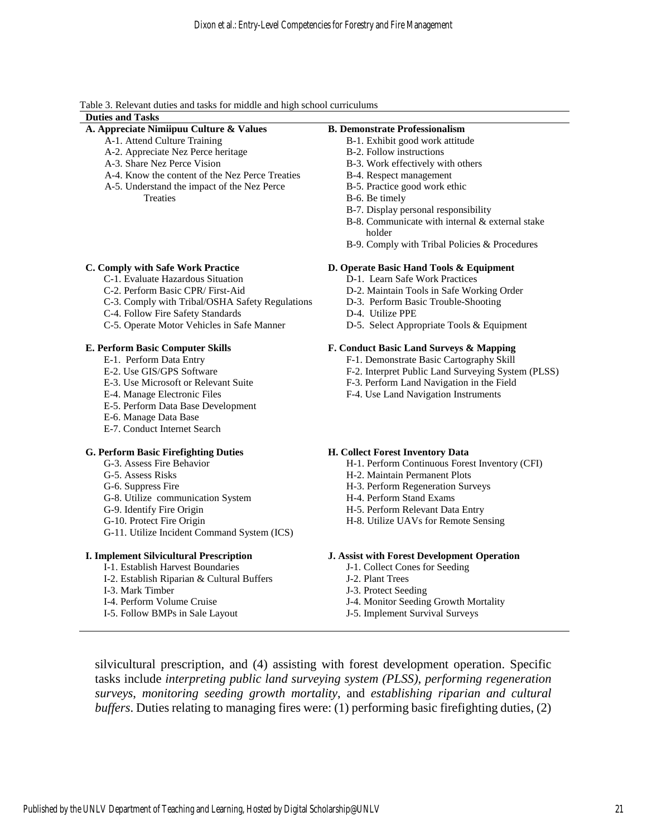Table 3. Relevant duties and tasks for middle and high school curriculums

### **Duties and Tasks**

# **A. Appreciate Nimiipuu Culture & Values**

- A-1. Attend Culture Training
- A-2. Appreciate Nez Perce heritage
- A-3. Share Nez Perce Vision
- A-4. Know the content of the Nez Perce Treaties
- A-5. Understand the impact of the Nez Perce **Treaties**

#### **C. Comply with Safe Work Practice**

- C-1. Evaluate Hazardous Situation
- C-2. Perform Basic CPR/ First-Aid
- C-3. Comply with Tribal/OSHA Safety Regulations
- C-4. Follow Fire Safety Standards
- C-5. Operate Motor Vehicles in Safe Manner

#### **E. Perform Basic Computer Skills**

- E-1. Perform Data Entry
- E-2. Use GIS/GPS Software
- E-3. Use Microsoft or Relevant Suite
- E-4. Manage Electronic Files
- E-5. Perform Data Base Development
- E-6. Manage Data Base
- E-7. Conduct Internet Search

#### **G. Perform Basic Firefighting Duties**

- G-3. Assess Fire Behavior
- G-5. Assess Risks
- G-6. Suppress Fire
- G-8. Utilize communication System
- G-9. Identify Fire Origin
- G-10. Protect Fire Origin
- G-11. Utilize Incident Command System (ICS)

#### **I. Implement Silvicultural Prescription**

- I-1. Establish Harvest Boundaries
- I-2. Establish Riparian & Cultural Buffers
- I-3. Mark Timber
- I-4. Perform Volume Cruise
- I-5. Follow BMPs in Sale Layout

#### **B. Demonstrate Professionalism**

- B-1. Exhibit good work attitude
- B-2. Follow instructions
- B-3. Work effectively with others
- B-4. Respect management
- B-5. Practice good work ethic
- B-6. Be timely
- B-7. Display personal responsibility
- B-8. Communicate with internal & external stake holder
- B-9. Comply with Tribal Policies & Procedures

#### **D. Operate Basic Hand Tools & Equipment**

- D-1. Learn Safe Work Practices
- D-2. Maintain Tools in Safe Working Order
- D-3. Perform Basic Trouble-Shooting
- D-4. Utilize PPE
- D-5. Select Appropriate Tools & Equipment

#### **F. Conduct Basic Land Surveys & Mapping**

- F-1. Demonstrate Basic Cartography Skill
- F-2. Interpret Public Land Surveying System (PLSS)
- F-3. Perform Land Navigation in the Field
- F-4. Use Land Navigation Instruments

#### **H. Collect Forest Inventory Data**

- H-1. Perform Continuous Forest Inventory (CFI)
- H-2. Maintain Permanent Plots
- H-3. Perform Regeneration Surveys
- H-4. Perform Stand Exams
- H-5. Perform Relevant Data Entry
- H-8. Utilize UAVs for Remote Sensing

#### **J. Assist with Forest Development Operation**

- J-1. Collect Cones for Seeding
- J-2. Plant Trees
- J-3. Protect Seeding
- J-4. Monitor Seeding Growth Mortality
- J-5. Implement Survival Surveys

silvicultural prescription, and (4) assisting with forest development operation. Specific tasks include *interpreting public land surveying system (PLSS)*, *performing regeneration surveys*, *monitoring seeding growth mortality*, and *establishing riparian and cultural buffers*. Duties relating to managing fires were: (1) performing basic firefighting duties, (2)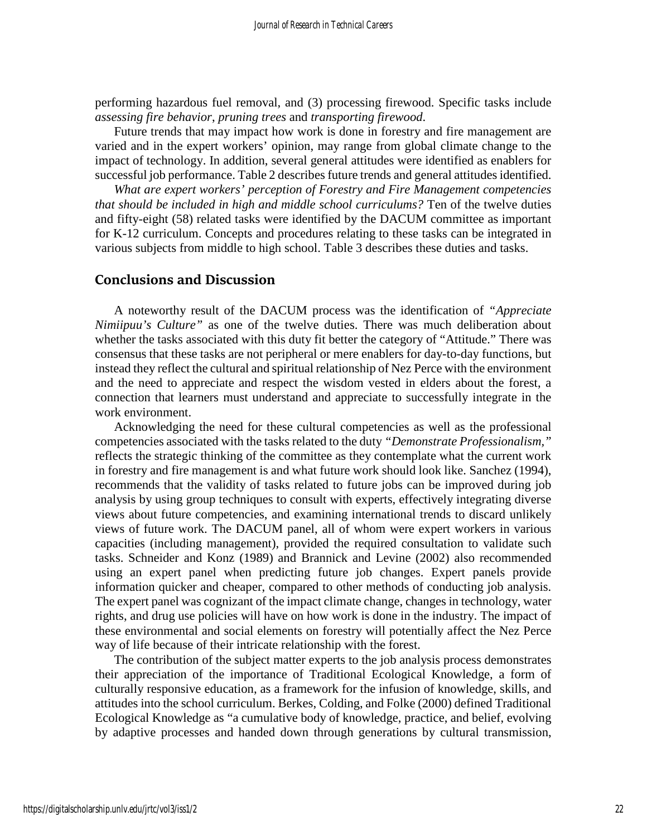performing hazardous fuel removal, and (3) processing firewood. Specific tasks include *assessing fire behavior*, *pruning trees* and *transporting firewood*.

Future trends that may impact how work is done in forestry and fire management are varied and in the expert workers' opinion, may range from global climate change to the impact of technology. In addition, several general attitudes were identified as enablers for successful job performance. Table 2 describes future trends and general attitudes identified.

*What are expert workers' perception of Forestry and Fire Management competencies that should be included in high and middle school curriculums?* Ten of the twelve duties and fifty-eight (58) related tasks were identified by the DACUM committee as important for K-12 curriculum. Concepts and procedures relating to these tasks can be integrated in various subjects from middle to high school. Table 3 describes these duties and tasks.

## **Conclusions and Discussion**

A noteworthy result of the DACUM process was the identification of *"Appreciate Nimiipuu's Culture"* as one of the twelve duties. There was much deliberation about whether the tasks associated with this duty fit better the category of "Attitude." There was consensus that these tasks are not peripheral or mere enablers for day-to-day functions, but instead they reflect the cultural and spiritual relationship of Nez Perce with the environment and the need to appreciate and respect the wisdom vested in elders about the forest, a connection that learners must understand and appreciate to successfully integrate in the work environment.

Acknowledging the need for these cultural competencies as well as the professional competencies associated with the tasks related to the duty *"Demonstrate Professionalism,"* reflects the strategic thinking of the committee as they contemplate what the current work in forestry and fire management is and what future work should look like. Sanchez (1994), recommends that the validity of tasks related to future jobs can be improved during job analysis by using group techniques to consult with experts, effectively integrating diverse views about future competencies, and examining international trends to discard unlikely views of future work. The DACUM panel, all of whom were expert workers in various capacities (including management), provided the required consultation to validate such tasks. Schneider and Konz (1989) and Brannick and Levine (2002) also recommended using an expert panel when predicting future job changes. Expert panels provide information quicker and cheaper, compared to other methods of conducting job analysis. The expert panel was cognizant of the impact climate change, changes in technology, water rights, and drug use policies will have on how work is done in the industry. The impact of these environmental and social elements on forestry will potentially affect the Nez Perce way of life because of their intricate relationship with the forest.

The contribution of the subject matter experts to the job analysis process demonstrates their appreciation of the importance of Traditional Ecological Knowledge, a form of culturally responsive education, as a framework for the infusion of knowledge, skills, and attitudes into the school curriculum. Berkes, Colding, and Folke (2000) defined Traditional Ecological Knowledge as "a cumulative body of knowledge, practice, and belief, evolving by adaptive processes and handed down through generations by cultural transmission,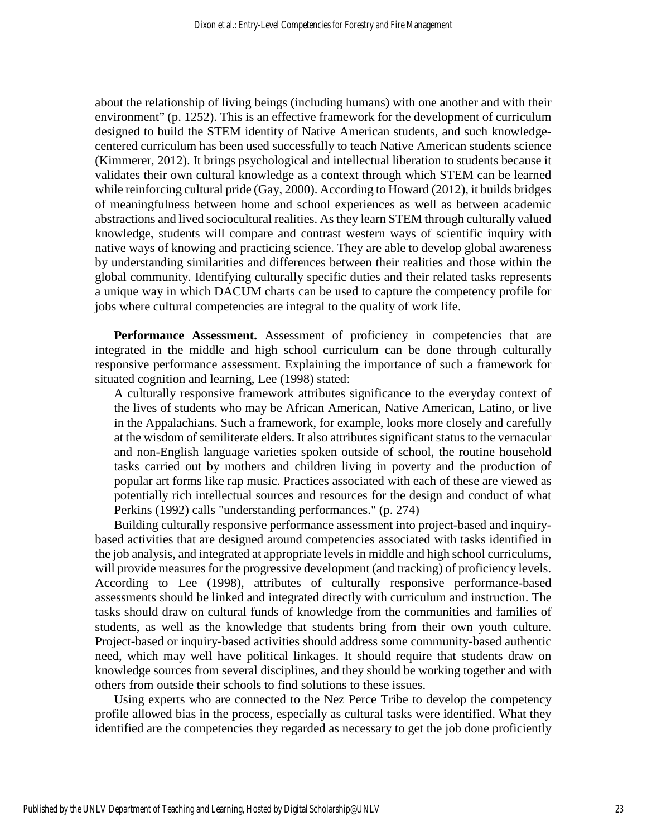about the relationship of living beings (including humans) with one another and with their environment" (p. 1252). This is an effective framework for the development of curriculum designed to build the STEM identity of Native American students, and such knowledgecentered curriculum has been used successfully to teach Native American students science (Kimmerer, 2012). It brings psychological and intellectual liberation to students because it validates their own cultural knowledge as a context through which STEM can be learned while reinforcing cultural pride (Gay, 2000). According to Howard (2012), it builds bridges of meaningfulness between home and school experiences as well as between academic abstractions and lived sociocultural realities. As they learn STEM through culturally valued knowledge, students will compare and contrast western ways of scientific inquiry with native ways of knowing and practicing science. They are able to develop global awareness by understanding similarities and differences between their realities and those within the global community. Identifying culturally specific duties and their related tasks represents a unique way in which DACUM charts can be used to capture the competency profile for jobs where cultural competencies are integral to the quality of work life.

Performance Assessment. Assessment of proficiency in competencies that are integrated in the middle and high school curriculum can be done through culturally responsive performance assessment. Explaining the importance of such a framework for situated cognition and learning, Lee (1998) stated:

A culturally responsive framework attributes significance to the everyday context of the lives of students who may be African American, Native American, Latino, or live in the Appalachians. Such a framework, for example, looks more closely and carefully at the wisdom of semiliterate elders. It also attributes significant status to the vernacular and non-English language varieties spoken outside of school, the routine household tasks carried out by mothers and children living in poverty and the production of popular art forms like rap music. Practices associated with each of these are viewed as potentially rich intellectual sources and resources for the design and conduct of what Perkins (1992) calls "understanding performances." (p. 274)

Building culturally responsive performance assessment into project-based and inquirybased activities that are designed around competencies associated with tasks identified in the job analysis, and integrated at appropriate levels in middle and high school curriculums, will provide measures for the progressive development (and tracking) of proficiency levels. According to Lee (1998), attributes of culturally responsive performance-based assessments should be linked and integrated directly with curriculum and instruction. The tasks should draw on cultural funds of knowledge from the communities and families of students, as well as the knowledge that students bring from their own youth culture. Project-based or inquiry-based activities should address some community-based authentic need, which may well have political linkages. It should require that students draw on knowledge sources from several disciplines, and they should be working together and with others from outside their schools to find solutions to these issues.

Using experts who are connected to the Nez Perce Tribe to develop the competency profile allowed bias in the process, especially as cultural tasks were identified. What they identified are the competencies they regarded as necessary to get the job done proficiently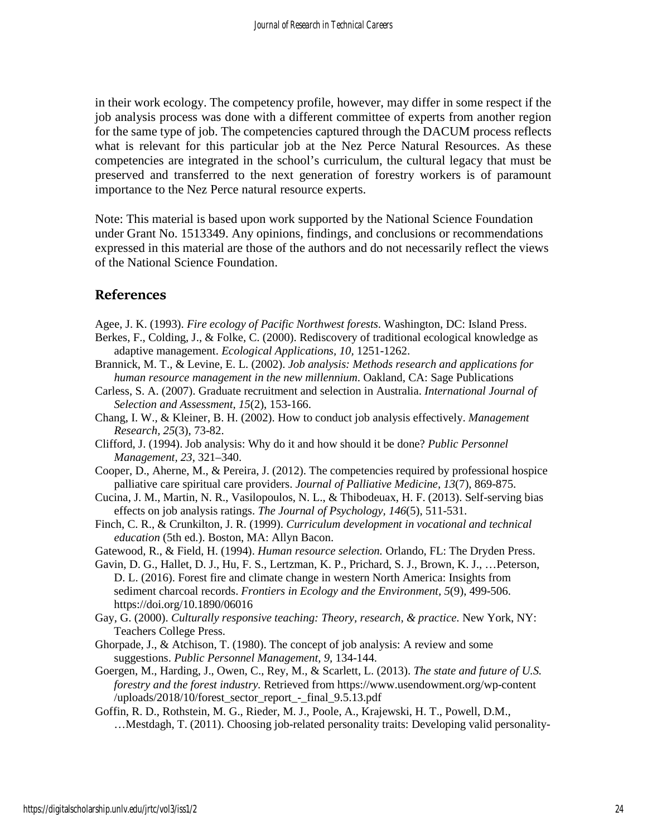in their work ecology. The competency profile, however, may differ in some respect if the job analysis process was done with a different committee of experts from another region for the same type of job. The competencies captured through the DACUM process reflects what is relevant for this particular job at the Nez Perce Natural Resources. As these competencies are integrated in the school's curriculum, the cultural legacy that must be preserved and transferred to the next generation of forestry workers is of paramount importance to the Nez Perce natural resource experts.

Note: This material is based upon work supported by the National Science Foundation under Grant No. 1513349. Any opinions, findings, and conclusions or recommendations expressed in this material are those of the authors and do not necessarily reflect the views of the National Science Foundation.

# **References**

- Agee, J. K. (1993). *Fire ecology of Pacific Northwest forests*. Washington, DC: Island Press.
- Berkes, F., Colding, J., & Folke, C. (2000). Rediscovery of traditional ecological knowledge as adaptive management. *Ecological Applications, 10,* 1251-1262.
- Brannick, M. T., & Levine, E. L. (2002). *Job analysis: Methods research and applications for human resource management in the new millennium*. Oakland, CA: Sage Publications
- Carless, S. A. (2007). Graduate recruitment and selection in Australia. *International Journal of Selection and Assessment, 15*(2), 153-166.
- Chang, I. W.*,* & Kleiner, B. H. (2002). How to conduct job analysis effectively. *Management Research, 25*(3), 73-82.
- Clifford, J. (1994). Job analysis: Why do it and how should it be done? *Public Personnel Management, 23*, 321–340.
- Cooper, D., Aherne, M., & Pereira, J. (2012). The competencies required by professional hospice palliative care spiritual care providers. *Journal of Palliative Medicine, 13*(7), 869-875.
- Cucina, J. M., Martin, N. R., Vasilopoulos, N. L., & Thibodeuax, H. F. (2013). Self-serving bias effects on job analysis ratings. *The Journal of Psychology, 146*(5), 511-531.
- Finch, C. R., & Crunkilton, J. R. (1999). *Curriculum development in vocational and technical education* (5th ed.). Boston, MA: Allyn Bacon.

Gatewood, R., & Field, H. (1994). *Human resource selection.* Orlando, FL: The Dryden Press.

- Gavin, D. G., Hallet, D. J., Hu, F. S., Lertzman, K. P., Prichard, S. J., Brown, K. J., …Peterson, D. L. (2016). Forest fire and climate change in western North America: Insights from sediment charcoal records. *Frontiers in Ecology and the Environment, 5*(9), 499-506. https://doi.org/10.1890/06016
- Gay, G. (2000). *Culturally responsive teaching: Theory, research, & practice.* New York, NY: Teachers College Press.
- Ghorpade, J., & Atchison, T. (1980). The concept of job analysis: A review and some suggestions. *Public Personnel Management, 9,* 134-144.
- Goergen, M., Harding, J., Owen, C., Rey, M., & Scarlett, L. (2013). *The state and future of U.S. forestry and the forest industry.* Retrieved from https://www.usendowment.org/wp-content /uploads/2018/10/forest\_sector\_report\_-\_final\_9.5.13.pdf
- Goffin, R. D., Rothstein, M. G., Rieder, M. J., Poole, A., Krajewski, H. T., Powell, D.M., …Mestdagh, T. (2011). Choosing job-related personality traits: Developing valid personality-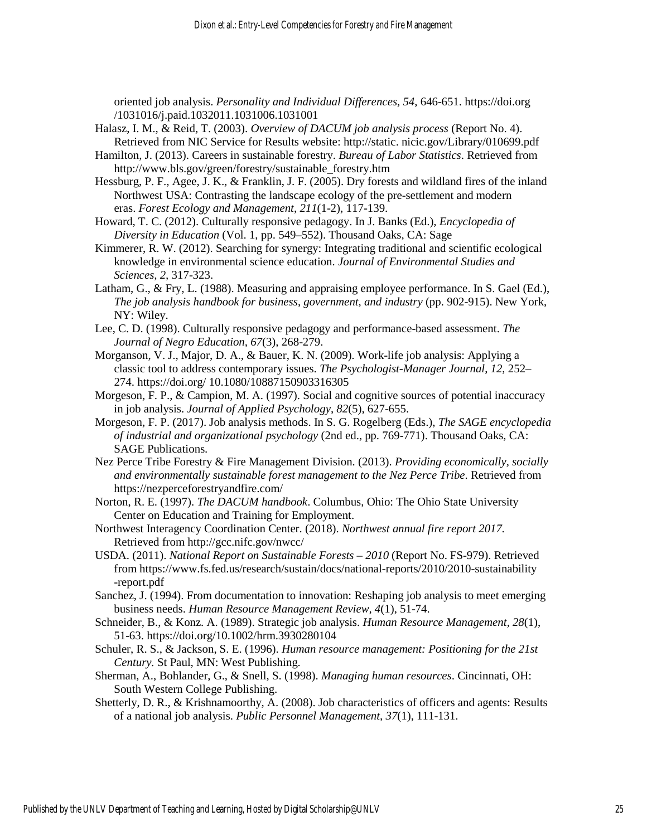oriented job analysis. *Personality and Individual Differences, 54*, 646-651. https://doi.org /1031016/j.paid.1032011.1031006.1031001

- Halasz, I. M., & Reid, T. (2003). *Overview of DACUM job analysis process* (Report No. 4). Retrieved from NIC Service for Results website: http://static. nicic.gov/Library/010699.pdf
- Hamilton, J. (2013). Careers in sustainable forestry. *Bureau of Labor Statistics*. Retrieved from http://www.bls.gov/green/forestry/sustainable\_forestry.htm
- Hessburg, P. F., Agee, J. K., & Franklin, J. F. (2005). Dry forests and wildland fires of the inland Northwest USA: Contrasting the landscape ecology of the pre-settlement and modern eras. *Forest Ecology and Management*, *211*(1-2), 117-139.
- Howard, T. C. (2012). Culturally responsive pedagogy. In J. Banks (Ed.), *Encyclopedia of Diversity in Education* (Vol. 1, pp. 549–552). Thousand Oaks, CA: Sage
- Kimmerer, R. W. (2012). Searching for synergy: Integrating traditional and scientific ecological knowledge in environmental science education. *Journal of Environmental Studies and Sciences, 2,* 317-323.
- Latham, G., & Fry, L. (1988). Measuring and appraising employee performance. In S. Gael (Ed.), *The job analysis handbook for business*, *government, and industry* (pp. 902-915). New York, NY: Wiley.
- Lee, C. D. (1998). Culturally responsive pedagogy and performance-based assessment. *The Journal of Negro Education, 67*(3), 268-279.
- Morganson, V. J., Major, D. A., & Bauer, K. N. (2009). Work-life job analysis: Applying a classic tool to address contemporary issues. *The Psychologist-Manager Journal*, *12*, 252– 274. https://doi.org/ 10.1080/10887150903316305
- Morgeson, F. P., & Campion, M. A. (1997). Social and cognitive sources of potential inaccuracy in job analysis. *Journal of Applied Psychology*, *82*(5), 627-655.
- Morgeson, F. P. (2017). Job analysis methods. In S. G. Rogelberg (Eds.), *The SAGE encyclopedia of industrial and organizational psychology* (2nd ed., pp. 769-771). Thousand Oaks, CA: SAGE Publications.
- Nez Perce Tribe Forestry & Fire Management Division. (2013). *Providing economically, socially and environmentally sustainable forest management to the Nez Perce Tribe*. Retrieved from https://nezperceforestryandfire.com/
- Norton, R. E. (1997). *The DACUM handbook*. Columbus, Ohio: The Ohio State University Center on Education and Training for Employment.
- Northwest Interagency Coordination Center. (2018). *Northwest annual fire report 2017.* Retrieved from http://gcc.nifc.gov/nwcc/
- USDA. (2011). *National Report on Sustainable Forests 2010* (Report No. FS-979). Retrieved from https://www.fs.fed.us/research/sustain/docs/national-reports/2010/2010-sustainability -report.pdf
- Sanchez, J. (1994). From documentation to innovation: Reshaping job analysis to meet emerging business needs. *Human Resource Management Review, 4*(1), 51-74.
- Schneider, B., & Konz. A. (1989). Strategic job analysis. *Human Resource Management, 28*(1), 51-63. https://doi.org/10.1002/hrm.3930280104
- Schuler, R. S., & Jackson, S. E. (1996). *Human resource management: Positioning for the 21st Century.* St Paul, MN: West Publishing.
- Sherman, A., Bohlander, G., & Snell, S. (1998). *Managing human resources*. Cincinnati, OH: South Western College Publishing.
- Shetterly, D. R., & Krishnamoorthy, A. (2008). Job characteristics of officers and agents: Results of a national job analysis. *Public Personnel Management, 37*(1), 111-131.